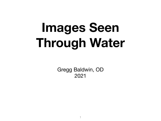# **Images Seen Through Water**

Gregg Baldwin, OD 2021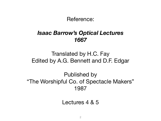Reference:

#### *Isaac Barrow's Optical Lectures 1667*

### Translated by H.C. Fay Edited by A.G. Bennett and D.F. Edgar

### Published by "The Worshipful Co. of Spectacle Makers" 1987

Lectures 4 & 5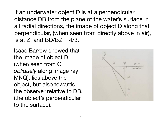If an underwater object D is at a perpendicular distance DB from the plane of the water's surface in all radial directions, the image of object D along that perpendicular, (when seen from directly above in air), is at Z, and  $BD/BC = 4/3$ .

Isaac Barrow showed that the image of object D, (when seen from Q *obliquely* along image ray MNQ), lies above the object, but also towards the observer relative to DB, (the object's perpendicular to the surface).

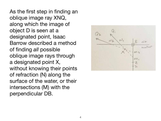As the first step in finding an oblique image ray XNQ, along which the image of object D is seen at a designated point, Isaac Barrow described a method of finding *all* possible oblique image rays through a designated point X, without knowing their points of refraction (N) along the surface of the water, or their intersections (M) with the perpendicular DB.

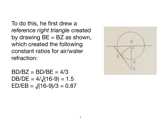To do this, he first drew a *reference right triangle* created by drawing  $BE = BZ$  as shown, which created the following constant ratios for air/water refraction:

 $BD/BZ = BD/BE = 4/3$ DB/DE =  $4/\sqrt{(16-9)} = 1.5$  $ED/EB = \sqrt{(16-9)/3} = 0.87$ 

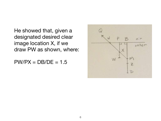He showed that, given a designated desired clear image location X, if we draw PW as shown, where:

 $PW/PX = DB/DE = 1.5$ 

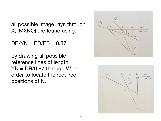all possible image rays through X, (MXNQ) are found using:

 $DB/YN = ED/EB = 0.87$ 

by drawing all possible reference lines of length  $YN = DB/0.87$  through W, in order to locate the required positions of N.



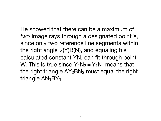He showed that there can be a maximum of *two* image rays through a designated point X, since only two reference line segments within the right angle ∠(Y)B(N), and equaling his calculated constant YN, can fit through point W. This is true since  $Y_2N_2 = Y_1N_1$  means that the right triangle  $\Delta Y_2$ BN<sub>2</sub> must equal the right triangle  $\Delta N_1BY_1$ .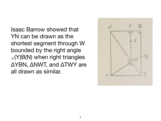Isaac Barrow showed that YN can be drawn as the shortest segment through W bounded by the right angle ∠(Y)B(N) when right triangles ΔYBN, ΔNWT, and ΔTWY are all drawn as similar.

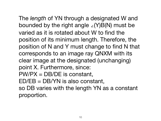The *length* of YN through a designated W and bounded by the right angle ∠(Y)B(N) must be varied as it is rotated about W to find the position of its minimum length. Therefore, the position of N and Y must change to find N that corresponds to an image ray QNXM with its clear image at the designated (unchanging) point X. Furthermore, since: PW/PX = DB/DE is constant, ED/EB = DB/YN is also constant, so DB varies with the length YN as a constant proportion.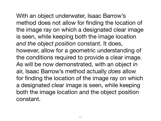With an object underwater, Isaac Barrow's method does not allow for finding the location of the image ray on which a designated clear image is seen, while keeping both the image location *and the object position* constant. It does, however, allow for a geometric understanding of the conditions required to provide a clear image. As will be now demonstrated, with an object in air, Isaac Barrow's method actually *does* allow for finding the location of the image ray on which a designated clear image is seen, while keeping both the image location and the object position constant.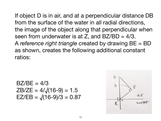If object D is in air, and at a perpendicular distance DB from the surface of the water in all radial directions, the image of the object along that perpendicular when seen from underwater is at Z, and  $BZ/BD = 4/3$ . A *reference right triangle* created by drawing BE = BD as shown, creates the following additional constant ratios:

$$
BZ/BE = 4/3
$$
  
ZB/ZE = 4/ $\sqrt{(16-9)} = 1.5$   
EZ/EB =  $\sqrt{(16-9)/3} = 0.87$ 

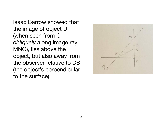Isaac Barrow showed that the image of object D, (when seen from Q *obliquely* along image ray MNQ), lies above the object, but also away from the observer relative to DB, (the object's perpendicular to the surface).

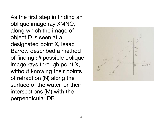As the first step in finding an oblique image ray XMNQ, along which the image of object D is seen at a designated point X, Isaac Barrow described a method of finding *all* possible oblique image rays through point X, without knowing their points of refraction (N) along the surface of the water, or their intersections (M) with the perpendicular DB.

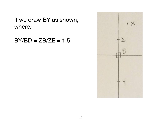If we draw BY as shown, where:

 $BY/BD = ZB/ZE = 1.5$ 

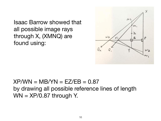Isaac Barrow showed that all possible image rays through X, (XMNQ) are found using:



## $XP/WN = MB/YN = EZ/EB = 0.87$ by drawing all possible reference lines of length  $WN = XP/0.87$  through Y.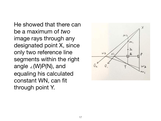He showed that there can be a maximum of *two* image rays through any designated point X, since only two reference line segments within the right angle ∠(W)P(N), and equaling his calculated constant WN, can fit through point Y.

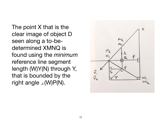The point X that is the clear image of object D seen along a to-bedetermined XMNQ is found using the *minimum* reference line segment length (W)Y(N) through Y, that is bounded by the right angle ∠(W)P(N).

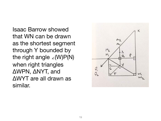Isaac Barrow showed that WN can be drawn as the shortest segment through Y bounded by the right angle ∠(W)P(N) when right triangles ΔWPN, ΔNYT, and ΔWYT are all drawn as similar.

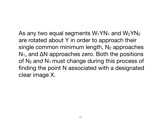As any two equal segments  $W_1YN_1$  and  $W_2YN_2$ are rotated about Y in order to approach their single common minimum length,  $N_2$  approaches  $N_1$ , and  $\Delta N$  approaches zero. Both the positions of N<sub>2</sub> and N<sub>1</sub> must change during this process of finding the point N associated with a designated clear image X.